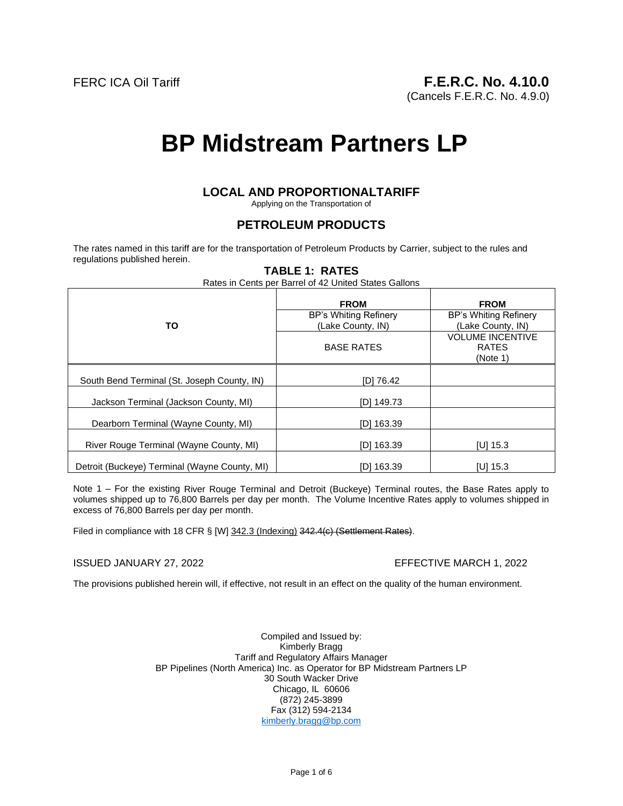(Cancels F.E.R.C. No. 4.9.0)

# **BP Midstream Partners LP**

# **LOCAL AND PROPORTIONALTARIFF**

Applying on the Transportation of

# **PETROLEUM PRODUCTS**

The rates named in this tariff are for the transportation of Petroleum Products by Carrier, subject to the rules and regulations published herein.

# **TABLE 1: RATES**

Rates in Cents per Barrel of 42 United States Gallons

|                                               | <b>FROM</b>                                | <b>FROM</b>                                         |
|-----------------------------------------------|--------------------------------------------|-----------------------------------------------------|
| TO                                            | BP's Whiting Refinery<br>(Lake County, IN) | BP's Whiting Refinery<br>(Lake County, IN)          |
|                                               | <b>BASE RATES</b>                          | <b>VOLUME INCENTIVE</b><br><b>RATES</b><br>(Note 1) |
| South Bend Terminal (St. Joseph County, IN)   | [D] 76.42                                  |                                                     |
| Jackson Terminal (Jackson County, MI)         | [D] 149.73                                 |                                                     |
| Dearborn Terminal (Wayne County, MI)          | [D] 163.39                                 |                                                     |
| River Rouge Terminal (Wayne County, MI)       | [D] 163.39                                 | [U] $15.3$                                          |
| Detroit (Buckeye) Terminal (Wayne County, MI) | [D] 163.39                                 | $IU$ 15.3                                           |

Note 1 – For the existing River Rouge Terminal and Detroit (Buckeye) Terminal routes, the Base Rates apply to volumes shipped up to 76,800 Barrels per day per month. The Volume Incentive Rates apply to volumes shipped in excess of 76,800 Barrels per day per month.

Filed in compliance with 18 CFR § [W] 342.3 (Indexing) 342.4(c) (Settlement Rates).

#### ISSUED JANUARY 27, 2022 EFFECTIVE MARCH 1, 2022

The provisions published herein will, if effective, not result in an effect on the quality of the human environment.

Compiled and Issued by: Kimberly Bragg Tariff and Regulatory Affairs Manager BP Pipelines (North America) Inc. as Operator for BP Midstream Partners LP 30 South Wacker Drive Chicago, IL 60606 (872) 245-3899 Fax (312) 594-2134 kimberly.bragg@bp.com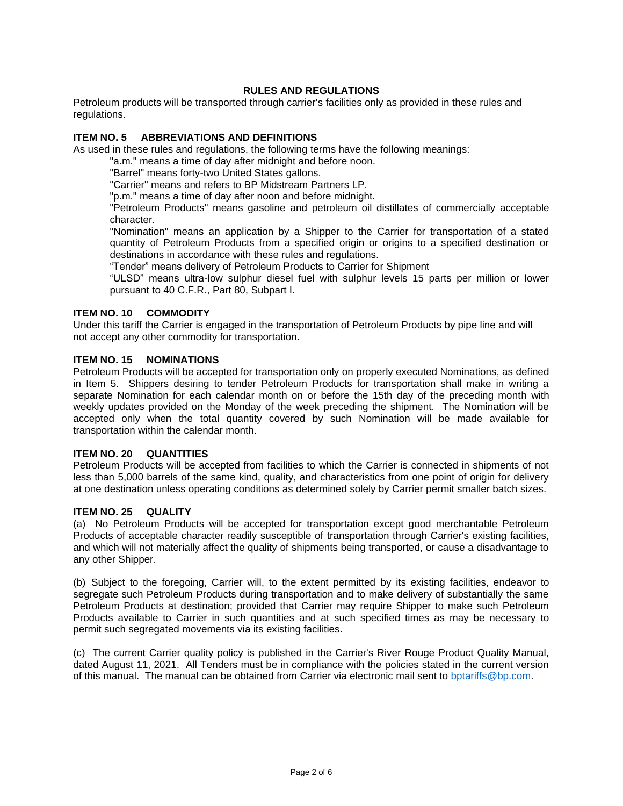# **RULES AND REGULATIONS**

Petroleum products will be transported through carrier's facilities only as provided in these rules and regulations.

#### **ITEM NO. 5 ABBREVIATIONS AND DEFINITIONS**

As used in these rules and regulations, the following terms have the following meanings:

"a.m." means a time of day after midnight and before noon.

"Barrel" means forty-two United States gallons.

"Carrier" means and refers to BP Midstream Partners LP.

"p.m." means a time of day after noon and before midnight.

"Petroleum Products" means gasoline and petroleum oil distillates of commercially acceptable character.

"Nomination" means an application by a Shipper to the Carrier for transportation of a stated quantity of Petroleum Products from a specified origin or origins to a specified destination or destinations in accordance with these rules and regulations.

"Tender" means delivery of Petroleum Products to Carrier for Shipment

"ULSD" means ultra-low sulphur diesel fuel with sulphur levels 15 parts per million or lower pursuant to 40 C.F.R., Part 80, Subpart I.

#### **ITEM NO. 10 COMMODITY**

Under this tariff the Carrier is engaged in the transportation of Petroleum Products by pipe line and will not accept any other commodity for transportation.

#### **ITEM NO. 15 NOMINATIONS**

Petroleum Products will be accepted for transportation only on properly executed Nominations, as defined in Item 5. Shippers desiring to tender Petroleum Products for transportation shall make in writing a separate Nomination for each calendar month on or before the 15th day of the preceding month with weekly updates provided on the Monday of the week preceding the shipment. The Nomination will be accepted only when the total quantity covered by such Nomination will be made available for transportation within the calendar month.

#### **ITEM NO. 20 QUANTITIES**

Petroleum Products will be accepted from facilities to which the Carrier is connected in shipments of not less than 5,000 barrels of the same kind, quality, and characteristics from one point of origin for delivery at one destination unless operating conditions as determined solely by Carrier permit smaller batch sizes.

#### **ITEM NO. 25 QUALITY**

(a) No Petroleum Products will be accepted for transportation except good merchantable Petroleum Products of acceptable character readily susceptible of transportation through Carrier's existing facilities, and which will not materially affect the quality of shipments being transported, or cause a disadvantage to any other Shipper.

(b) Subject to the foregoing, Carrier will, to the extent permitted by its existing facilities, endeavor to segregate such Petroleum Products during transportation and to make delivery of substantially the same Petroleum Products at destination; provided that Carrier may require Shipper to make such Petroleum Products available to Carrier in such quantities and at such specified times as may be necessary to permit such segregated movements via its existing facilities.

(c) The current Carrier quality policy is published in the Carrier's River Rouge Product Quality Manual, dated August 11, 2021. All Tenders must be in compliance with the policies stated in the current version of this manual. The manual can be obtained from Carrier via electronic mail sent to bptariffs@bp.com.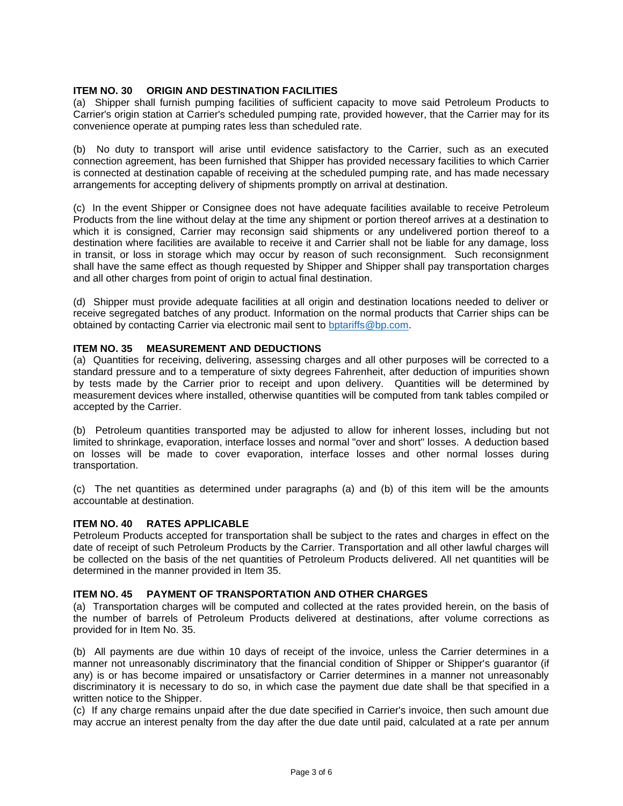## **ITEM NO. 30 ORIGIN AND DESTINATION FACILITIES**

(a) Shipper shall furnish pumping facilities of sufficient capacity to move said Petroleum Products to Carrier's origin station at Carrier's scheduled pumping rate, provided however, that the Carrier may for its convenience operate at pumping rates less than scheduled rate.

(b) No duty to transport will arise until evidence satisfactory to the Carrier, such as an executed connection agreement, has been furnished that Shipper has provided necessary facilities to which Carrier is connected at destination capable of receiving at the scheduled pumping rate, and has made necessary arrangements for accepting delivery of shipments promptly on arrival at destination.

(c) In the event Shipper or Consignee does not have adequate facilities available to receive Petroleum Products from the line without delay at the time any shipment or portion thereof arrives at a destination to which it is consigned, Carrier may reconsign said shipments or any undelivered portion thereof to a destination where facilities are available to receive it and Carrier shall not be liable for any damage, loss in transit, or loss in storage which may occur by reason of such reconsignment. Such reconsignment shall have the same effect as though requested by Shipper and Shipper shall pay transportation charges and all other charges from point of origin to actual final destination.

(d) Shipper must provide adequate facilities at all origin and destination locations needed to deliver or receive segregated batches of any product. Information on the normal products that Carrier ships can be obtained by contacting Carrier via electronic mail sent to bptariffs@bp.com.

# **ITEM NO. 35 MEASUREMENT AND DEDUCTIONS**

(a) Quantities for receiving, delivering, assessing charges and all other purposes will be corrected to a standard pressure and to a temperature of sixty degrees Fahrenheit, after deduction of impurities shown by tests made by the Carrier prior to receipt and upon delivery. Quantities will be determined by measurement devices where installed, otherwise quantities will be computed from tank tables compiled or accepted by the Carrier.

(b) Petroleum quantities transported may be adjusted to allow for inherent losses, including but not limited to shrinkage, evaporation, interface losses and normal "over and short" losses. A deduction based on losses will be made to cover evaporation, interface losses and other normal losses during transportation.

(c) The net quantities as determined under paragraphs (a) and (b) of this item will be the amounts accountable at destination.

#### **ITEM NO. 40 RATES APPLICABLE**

Petroleum Products accepted for transportation shall be subject to the rates and charges in effect on the date of receipt of such Petroleum Products by the Carrier. Transportation and all other lawful charges will be collected on the basis of the net quantities of Petroleum Products delivered. All net quantities will be determined in the manner provided in Item 35.

#### **ITEM NO. 45 PAYMENT OF TRANSPORTATION AND OTHER CHARGES**

(a) Transportation charges will be computed and collected at the rates provided herein, on the basis of the number of barrels of Petroleum Products delivered at destinations, after volume corrections as provided for in Item No. 35.

(b) All payments are due within 10 days of receipt of the invoice, unless the Carrier determines in a manner not unreasonably discriminatory that the financial condition of Shipper or Shipper's guarantor (if any) is or has become impaired or unsatisfactory or Carrier determines in a manner not unreasonably discriminatory it is necessary to do so, in which case the payment due date shall be that specified in a written notice to the Shipper.

(c) If any charge remains unpaid after the due date specified in Carrier's invoice, then such amount due may accrue an interest penalty from the day after the due date until paid, calculated at a rate per annum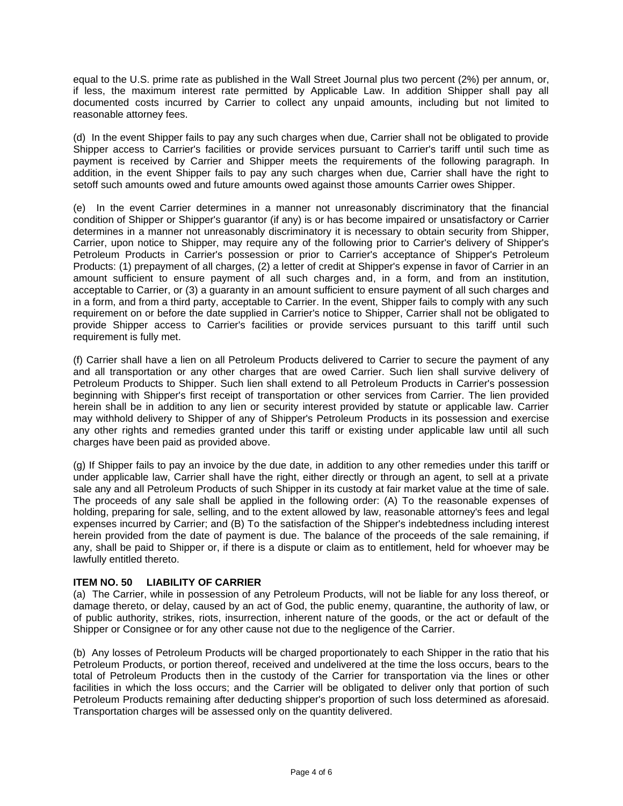equal to the U.S. prime rate as published in the Wall Street Journal plus two percent (2%) per annum, or, if less, the maximum interest rate permitted by Applicable Law. In addition Shipper shall pay all documented costs incurred by Carrier to collect any unpaid amounts, including but not limited to reasonable attorney fees.

(d) In the event Shipper fails to pay any such charges when due, Carrier shall not be obligated to provide Shipper access to Carrier's facilities or provide services pursuant to Carrier's tariff until such time as payment is received by Carrier and Shipper meets the requirements of the following paragraph. In addition, in the event Shipper fails to pay any such charges when due, Carrier shall have the right to setoff such amounts owed and future amounts owed against those amounts Carrier owes Shipper.

(e) In the event Carrier determines in a manner not unreasonably discriminatory that the financial condition of Shipper or Shipper's guarantor (if any) is or has become impaired or unsatisfactory or Carrier determines in a manner not unreasonably discriminatory it is necessary to obtain security from Shipper, Carrier, upon notice to Shipper, may require any of the following prior to Carrier's delivery of Shipper's Petroleum Products in Carrier's possession or prior to Carrier's acceptance of Shipper's Petroleum Products: (1) prepayment of all charges, (2) a letter of credit at Shipper's expense in favor of Carrier in an amount sufficient to ensure payment of all such charges and, in a form, and from an institution, acceptable to Carrier, or (3) a guaranty in an amount sufficient to ensure payment of all such charges and in a form, and from a third party, acceptable to Carrier. In the event, Shipper fails to comply with any such requirement on or before the date supplied in Carrier's notice to Shipper, Carrier shall not be obligated to provide Shipper access to Carrier's facilities or provide services pursuant to this tariff until such requirement is fully met.

(f) Carrier shall have a lien on all Petroleum Products delivered to Carrier to secure the payment of any and all transportation or any other charges that are owed Carrier. Such lien shall survive delivery of Petroleum Products to Shipper. Such lien shall extend to all Petroleum Products in Carrier's possession beginning with Shipper's first receipt of transportation or other services from Carrier. The lien provided herein shall be in addition to any lien or security interest provided by statute or applicable law. Carrier may withhold delivery to Shipper of any of Shipper's Petroleum Products in its possession and exercise any other rights and remedies granted under this tariff or existing under applicable law until all such charges have been paid as provided above.

(g) If Shipper fails to pay an invoice by the due date, in addition to any other remedies under this tariff or under applicable law, Carrier shall have the right, either directly or through an agent, to sell at a private sale any and all Petroleum Products of such Shipper in its custody at fair market value at the time of sale. The proceeds of any sale shall be applied in the following order: (A) To the reasonable expenses of holding, preparing for sale, selling, and to the extent allowed by law, reasonable attorney's fees and legal expenses incurred by Carrier; and (B) To the satisfaction of the Shipper's indebtedness including interest herein provided from the date of payment is due. The balance of the proceeds of the sale remaining, if any, shall be paid to Shipper or, if there is a dispute or claim as to entitlement, held for whoever may be lawfully entitled thereto.

# **ITEM NO. 50 LIABILITY OF CARRIER**

(a) The Carrier, while in possession of any Petroleum Products, will not be liable for any loss thereof, or damage thereto, or delay, caused by an act of God, the public enemy, quarantine, the authority of law, or of public authority, strikes, riots, insurrection, inherent nature of the goods, or the act or default of the Shipper or Consignee or for any other cause not due to the negligence of the Carrier.

(b) Any losses of Petroleum Products will be charged proportionately to each Shipper in the ratio that his Petroleum Products, or portion thereof, received and undelivered at the time the loss occurs, bears to the total of Petroleum Products then in the custody of the Carrier for transportation via the lines or other facilities in which the loss occurs; and the Carrier will be obligated to deliver only that portion of such Petroleum Products remaining after deducting shipper's proportion of such loss determined as aforesaid. Transportation charges will be assessed only on the quantity delivered.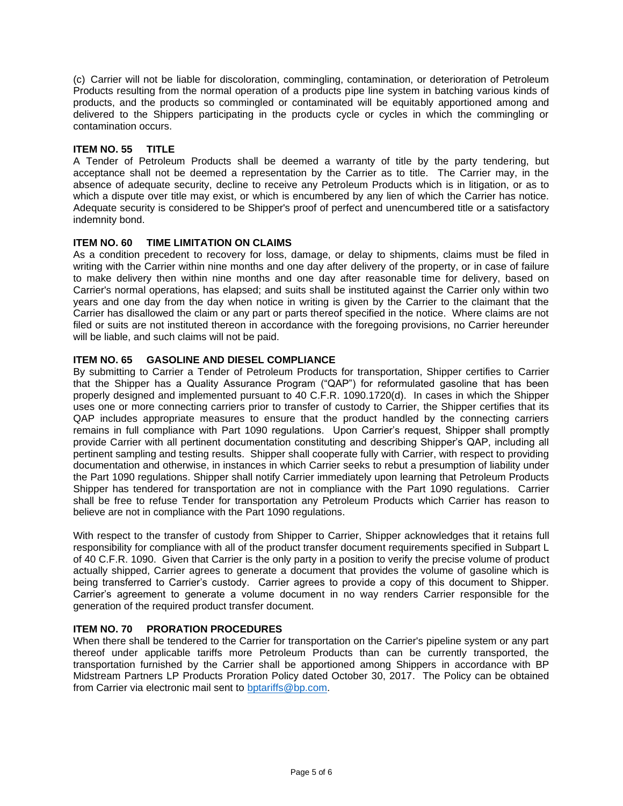(c) Carrier will not be liable for discoloration, commingling, contamination, or deterioration of Petroleum Products resulting from the normal operation of a products pipe line system in batching various kinds of products, and the products so commingled or contaminated will be equitably apportioned among and delivered to the Shippers participating in the products cycle or cycles in which the commingling or contamination occurs.

# **ITEM NO. 55 TITLE**

A Tender of Petroleum Products shall be deemed a warranty of title by the party tendering, but acceptance shall not be deemed a representation by the Carrier as to title. The Carrier may, in the absence of adequate security, decline to receive any Petroleum Products which is in litigation, or as to which a dispute over title may exist, or which is encumbered by any lien of which the Carrier has notice. Adequate security is considered to be Shipper's proof of perfect and unencumbered title or a satisfactory indemnity bond.

# **ITEM NO. 60 TIME LIMITATION ON CLAIMS**

As a condition precedent to recovery for loss, damage, or delay to shipments, claims must be filed in writing with the Carrier within nine months and one day after delivery of the property, or in case of failure to make delivery then within nine months and one day after reasonable time for delivery, based on Carrier's normal operations, has elapsed; and suits shall be instituted against the Carrier only within two years and one day from the day when notice in writing is given by the Carrier to the claimant that the Carrier has disallowed the claim or any part or parts thereof specified in the notice. Where claims are not filed or suits are not instituted thereon in accordance with the foregoing provisions, no Carrier hereunder will be liable, and such claims will not be paid.

# **ITEM NO. 65 GASOLINE AND DIESEL COMPLIANCE**

By submitting to Carrier a Tender of Petroleum Products for transportation, Shipper certifies to Carrier that the Shipper has a Quality Assurance Program ("QAP") for reformulated gasoline that has been properly designed and implemented pursuant to 40 C.F.R. 1090.1720(d). In cases in which the Shipper uses one or more connecting carriers prior to transfer of custody to Carrier, the Shipper certifies that its QAP includes appropriate measures to ensure that the product handled by the connecting carriers remains in full compliance with Part 1090 regulations. Upon Carrier's request, Shipper shall promptly provide Carrier with all pertinent documentation constituting and describing Shipper's QAP, including all pertinent sampling and testing results. Shipper shall cooperate fully with Carrier, with respect to providing documentation and otherwise, in instances in which Carrier seeks to rebut a presumption of liability under the Part 1090 regulations. Shipper shall notify Carrier immediately upon learning that Petroleum Products Shipper has tendered for transportation are not in compliance with the Part 1090 regulations. Carrier shall be free to refuse Tender for transportation any Petroleum Products which Carrier has reason to believe are not in compliance with the Part 1090 regulations.

With respect to the transfer of custody from Shipper to Carrier, Shipper acknowledges that it retains full responsibility for compliance with all of the product transfer document requirements specified in Subpart L of 40 C.F.R. 1090. Given that Carrier is the only party in a position to verify the precise volume of product actually shipped, Carrier agrees to generate a document that provides the volume of gasoline which is being transferred to Carrier's custody. Carrier agrees to provide a copy of this document to Shipper. Carrier's agreement to generate a volume document in no way renders Carrier responsible for the generation of the required product transfer document.

# **ITEM NO. 70 PRORATION PROCEDURES**

When there shall be tendered to the Carrier for transportation on the Carrier's pipeline system or any part thereof under applicable tariffs more Petroleum Products than can be currently transported, the transportation furnished by the Carrier shall be apportioned among Shippers in accordance with BP Midstream Partners LP Products Proration Policy dated October 30, 2017. The Policy can be obtained from Carrier via electronic mail sent to bptariffs@bp.com.